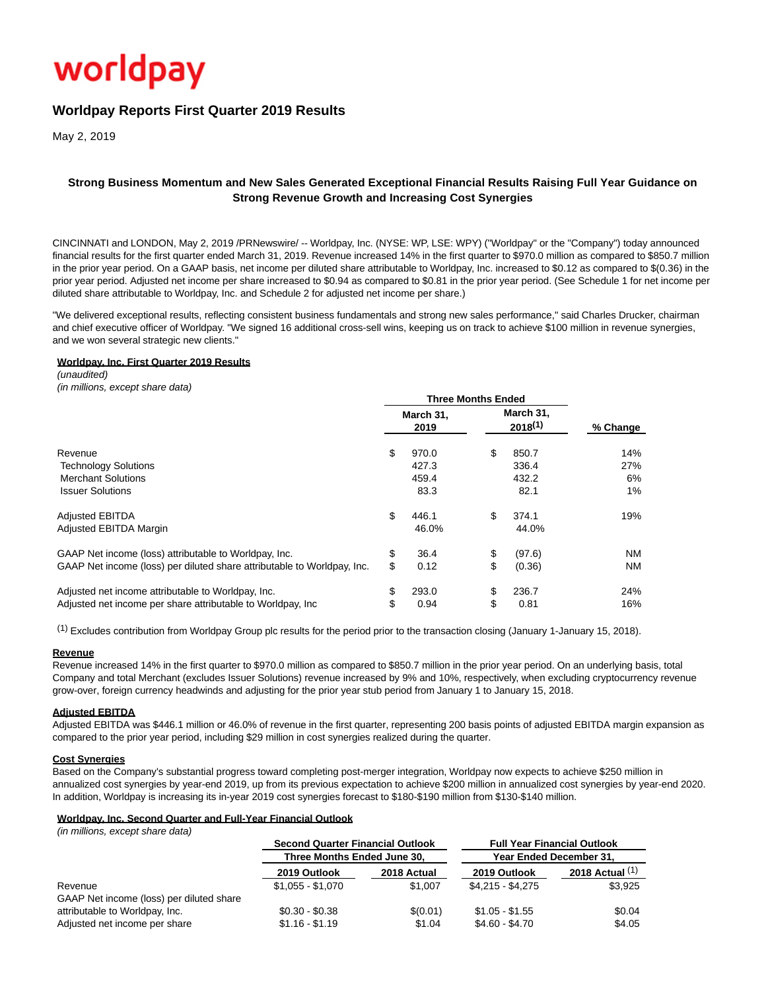

# **Worldpay Reports First Quarter 2019 Results**

May 2, 2019

# **Strong Business Momentum and New Sales Generated Exceptional Financial Results Raising Full Year Guidance on Strong Revenue Growth and Increasing Cost Synergies**

CINCINNATI and LONDON, May 2, 2019 /PRNewswire/ -- Worldpay, Inc. (NYSE: WP, LSE: WPY) ("Worldpay" or the "Company") today announced financial results for the first quarter ended March 31, 2019. Revenue increased 14% in the first quarter to \$970.0 million as compared to \$850.7 million in the prior year period. On a GAAP basis, net income per diluted share attributable to Worldpay, Inc. increased to \$0.12 as compared to \$(0.36) in the prior year period. Adjusted net income per share increased to \$0.94 as compared to \$0.81 in the prior year period. (See Schedule 1 for net income per diluted share attributable to Worldpay, Inc. and Schedule 2 for adjusted net income per share.)

"We delivered exceptional results, reflecting consistent business fundamentals and strong new sales performance," said Charles Drucker, chairman and chief executive officer of Worldpay. "We signed 16 additional cross-sell wins, keeping us on track to achieve \$100 million in revenue synergies, and we won several strategic new clients."

### **Worldpay, Inc. First Quarter 2019 Results**

(unaudited) (in millions, except share data)

|                                                                         |                   | <b>Three Months Ended</b> |                           |           |  |
|-------------------------------------------------------------------------|-------------------|---------------------------|---------------------------|-----------|--|
|                                                                         | March 31,<br>2019 |                           | March 31,<br>$2018^{(1)}$ | % Change  |  |
| Revenue                                                                 | \$                | 970.0                     | \$<br>850.7               | 14%       |  |
| <b>Technology Solutions</b>                                             |                   | 427.3                     | 336.4                     | 27%       |  |
| <b>Merchant Solutions</b>                                               |                   | 459.4                     | 432.2                     | 6%        |  |
| <b>Issuer Solutions</b>                                                 |                   | 83.3                      | 82.1                      | 1%        |  |
| <b>Adjusted EBITDA</b>                                                  | \$                | 446.1                     | \$<br>374.1               | 19%       |  |
| Adjusted EBITDA Margin                                                  |                   | 46.0%                     | 44.0%                     |           |  |
| GAAP Net income (loss) attributable to Worldpay, Inc.                   | \$                | 36.4                      | \$<br>(97.6)              | NM.       |  |
| GAAP Net income (loss) per diluted share attributable to Worldpay, Inc. | \$                | 0.12                      | \$<br>(0.36)              | <b>NM</b> |  |
| Adjusted net income attributable to Worldpay, Inc.                      | \$                | 293.0                     | \$<br>236.7               | 24%       |  |
| Adjusted net income per share attributable to Worldpay, Inc.            | \$                | 0.94                      | \$<br>0.81                | 16%       |  |

(1) Excludes contribution from Worldpay Group plc results for the period prior to the transaction closing (January 1-January 15, 2018).

### **Revenue**

Revenue increased 14% in the first quarter to \$970.0 million as compared to \$850.7 million in the prior year period. On an underlying basis, total Company and total Merchant (excludes Issuer Solutions) revenue increased by 9% and 10%, respectively, when excluding cryptocurrency revenue grow-over, foreign currency headwinds and adjusting for the prior year stub period from January 1 to January 15, 2018.

### **Adjusted EBITDA**

Adjusted EBITDA was \$446.1 million or 46.0% of revenue in the first quarter, representing 200 basis points of adjusted EBITDA margin expansion as compared to the prior year period, including \$29 million in cost synergies realized during the quarter.

#### **Cost Synergies**

Based on the Company's substantial progress toward completing post-merger integration, Worldpay now expects to achieve \$250 million in annualized cost synergies by year-end 2019, up from its previous expectation to achieve \$200 million in annualized cost synergies by year-end 2020. In addition, Worldpay is increasing its in-year 2019 cost synergies forecast to \$180-\$190 million from \$130-\$140 million.

#### **Worldpay, Inc. Second Quarter and Full-Year Financial Outlook**

(in millions, except share data)

|                                          | <b>Second Quarter Financial Outlook</b> |             | <b>Full Year Financial Outlook</b><br>Year Ended December 31, |                   |  |  |
|------------------------------------------|-----------------------------------------|-------------|---------------------------------------------------------------|-------------------|--|--|
|                                          | Three Months Ended June 30,             |             |                                                               |                   |  |  |
|                                          | 2019 Outlook                            | 2018 Actual | 2019 Outlook                                                  | 2018 Actual $(1)$ |  |  |
| Revenue                                  | $$1.055 - $1.070$                       | \$1,007     | \$4.215 - \$4.275                                             | \$3,925           |  |  |
| GAAP Net income (loss) per diluted share |                                         |             |                                                               |                   |  |  |
| attributable to Worldpay, Inc.           | $$0.30 - $0.38$                         | \$(0.01)    | $$1.05 - $1.55$                                               | \$0.04            |  |  |
| Adjusted net income per share            | $$1.16 - $1.19$                         | \$1.04      | \$4.60 - \$4.70                                               | \$4.05            |  |  |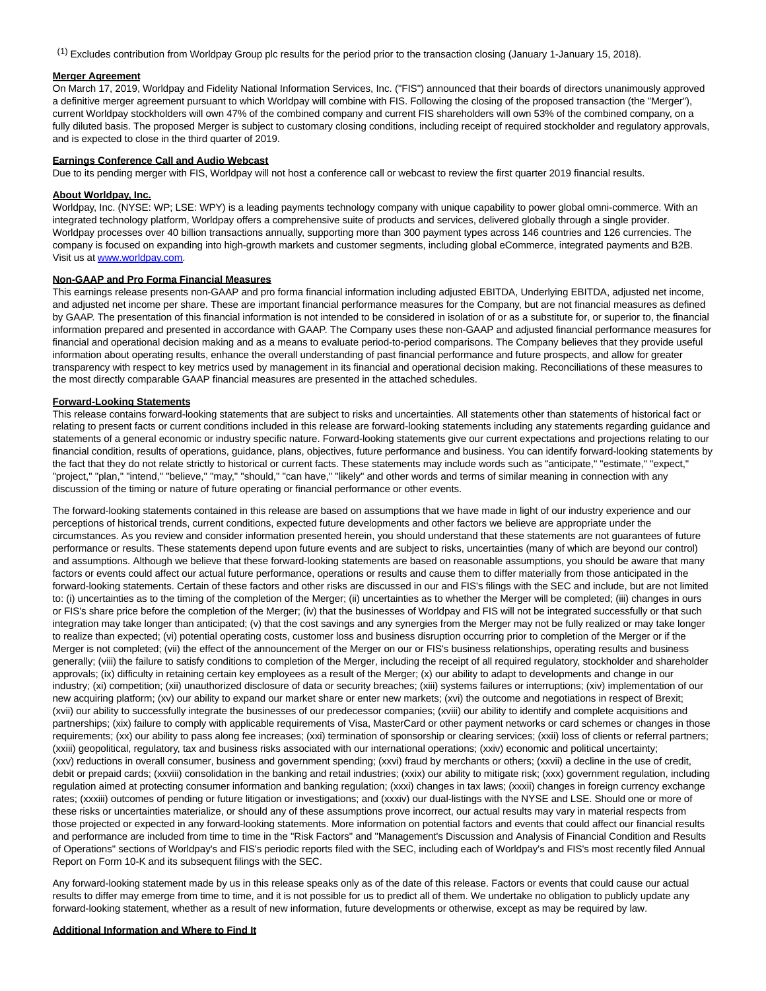(1) Excludes contribution from Worldpay Group plc results for the period prior to the transaction closing (January 1-January 15, 2018).

## **Merger Agreement**

On March 17, 2019, Worldpay and Fidelity National Information Services, Inc. ("FIS") announced that their boards of directors unanimously approved a definitive merger agreement pursuant to which Worldpay will combine with FIS. Following the closing of the proposed transaction (the "Merger"), current Worldpay stockholders will own 47% of the combined company and current FIS shareholders will own 53% of the combined company, on a fully diluted basis. The proposed Merger is subject to customary closing conditions, including receipt of required stockholder and regulatory approvals, and is expected to close in the third quarter of 2019.

### **Earnings Conference Call and Audio Webcast**

Due to its pending merger with FIS, Worldpay will not host a conference call or webcast to review the first quarter 2019 financial results.

#### **About Worldpay, Inc.**

Worldpay, Inc. (NYSE: WP; LSE: WPY) is a leading payments technology company with unique capability to power global omni-commerce. With an integrated technology platform, Worldpay offers a comprehensive suite of products and services, delivered globally through a single provider. Worldpay processes over 40 billion transactions annually, supporting more than 300 payment types across 146 countries and 126 currencies. The company is focused on expanding into high-growth markets and customer segments, including global eCommerce, integrated payments and B2B. Visit us a[t www.worldpay.com.](https://c212.net/c/link/?t=0&l=en&o=2452888-1&h=4204764218&u=http%3A%2F%2Fwww.worldpay.com%2F&a=www.worldpay.com)

### **Non-GAAP and Pro Forma Financial Measures**

This earnings release presents non-GAAP and pro forma financial information including adjusted EBITDA, Underlying EBITDA, adjusted net income, and adjusted net income per share. These are important financial performance measures for the Company, but are not financial measures as defined by GAAP. The presentation of this financial information is not intended to be considered in isolation of or as a substitute for, or superior to, the financial information prepared and presented in accordance with GAAP. The Company uses these non-GAAP and adjusted financial performance measures for financial and operational decision making and as a means to evaluate period-to-period comparisons. The Company believes that they provide useful information about operating results, enhance the overall understanding of past financial performance and future prospects, and allow for greater transparency with respect to key metrics used by management in its financial and operational decision making. Reconciliations of these measures to the most directly comparable GAAP financial measures are presented in the attached schedules.

### **Forward-Looking Statements**

This release contains forward-looking statements that are subject to risks and uncertainties. All statements other than statements of historical fact or relating to present facts or current conditions included in this release are forward-looking statements including any statements regarding guidance and statements of a general economic or industry specific nature. Forward-looking statements give our current expectations and projections relating to our financial condition, results of operations, guidance, plans, objectives, future performance and business. You can identify forward-looking statements by the fact that they do not relate strictly to historical or current facts. These statements may include words such as "anticipate," "estimate," "expect," "project," "plan," "intend," "believe," "may," "should," "can have," "likely" and other words and terms of similar meaning in connection with any discussion of the timing or nature of future operating or financial performance or other events.

The forward-looking statements contained in this release are based on assumptions that we have made in light of our industry experience and our perceptions of historical trends, current conditions, expected future developments and other factors we believe are appropriate under the circumstances. As you review and consider information presented herein, you should understand that these statements are not guarantees of future performance or results. These statements depend upon future events and are subject to risks, uncertainties (many of which are beyond our control) and assumptions. Although we believe that these forward-looking statements are based on reasonable assumptions, you should be aware that many factors or events could affect our actual future performance, operations or results and cause them to differ materially from those anticipated in the forward-looking statements. Certain of these factors and other risks are discussed in our and FIS's filings with the SEC and include, but are not limited to: (i) uncertainties as to the timing of the completion of the Merger; (ii) uncertainties as to whether the Merger will be completed; (iii) changes in ours or FIS's share price before the completion of the Merger; (iv) that the businesses of Worldpay and FIS will not be integrated successfully or that such integration may take longer than anticipated; (v) that the cost savings and any synergies from the Merger may not be fully realized or may take longer to realize than expected; (vi) potential operating costs, customer loss and business disruption occurring prior to completion of the Merger or if the Merger is not completed; (vii) the effect of the announcement of the Merger on our or FIS's business relationships, operating results and business generally; (viii) the failure to satisfy conditions to completion of the Merger, including the receipt of all required regulatory, stockholder and shareholder approvals; (ix) difficulty in retaining certain key employees as a result of the Merger; (x) our ability to adapt to developments and change in our industry; (xi) competition; (xii) unauthorized disclosure of data or security breaches; (xiii) systems failures or interruptions; (xiv) implementation of our new acquiring platform; (xv) our ability to expand our market share or enter new markets; (xvi) the outcome and negotiations in respect of Brexit; (xvii) our ability to successfully integrate the businesses of our predecessor companies; (xviii) our ability to identify and complete acquisitions and partnerships; (xix) failure to comply with applicable requirements of Visa, MasterCard or other payment networks or card schemes or changes in those requirements; (xx) our ability to pass along fee increases; (xxi) termination of sponsorship or clearing services; (xxii) loss of clients or referral partners; (xxiii) geopolitical, regulatory, tax and business risks associated with our international operations; (xxiv) economic and political uncertainty; (xxv) reductions in overall consumer, business and government spending; (xxvi) fraud by merchants or others; (xxvii) a decline in the use of credit, debit or prepaid cards; (xxviii) consolidation in the banking and retail industries; (xxix) our ability to mitigate risk; (xxx) government regulation, including regulation aimed at protecting consumer information and banking regulation; (xxxi) changes in tax laws; (xxxii) changes in foreign currency exchange rates; (xxxiii) outcomes of pending or future litigation or investigations; and (xxxiv) our dual-listings with the NYSE and LSE. Should one or more of these risks or uncertainties materialize, or should any of these assumptions prove incorrect, our actual results may vary in material respects from those projected or expected in any forward-looking statements. More information on potential factors and events that could affect our financial results and performance are included from time to time in the "Risk Factors" and "Management's Discussion and Analysis of Financial Condition and Results of Operations" sections of Worldpay's and FIS's periodic reports filed with the SEC, including each of Worldpay's and FIS's most recently filed Annual Report on Form 10-K and its subsequent filings with the SEC.

Any forward-looking statement made by us in this release speaks only as of the date of this release. Factors or events that could cause our actual results to differ may emerge from time to time, and it is not possible for us to predict all of them. We undertake no obligation to publicly update any forward-looking statement, whether as a result of new information, future developments or otherwise, except as may be required by law.

#### **Additional Information and Where to Find It**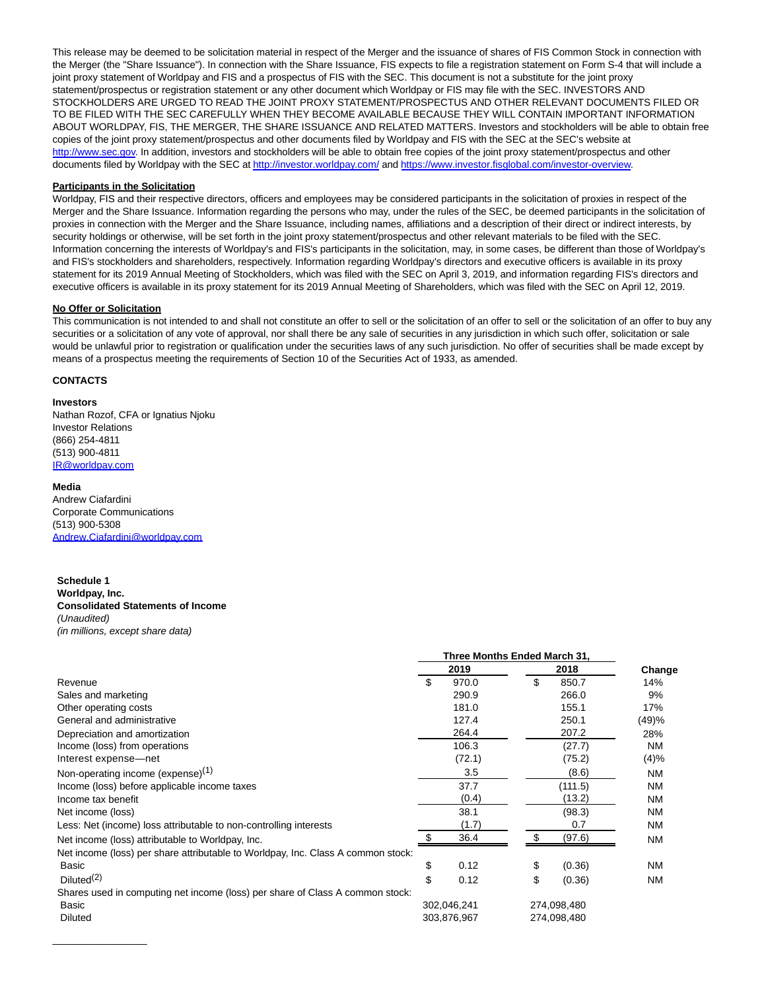This release may be deemed to be solicitation material in respect of the Merger and the issuance of shares of FIS Common Stock in connection with the Merger (the "Share Issuance"). In connection with the Share Issuance, FIS expects to file a registration statement on Form S-4 that will include a joint proxy statement of Worldpay and FIS and a prospectus of FIS with the SEC. This document is not a substitute for the joint proxy statement/prospectus or registration statement or any other document which Worldpay or FIS may file with the SEC. INVESTORS AND STOCKHOLDERS ARE URGED TO READ THE JOINT PROXY STATEMENT/PROSPECTUS AND OTHER RELEVANT DOCUMENTS FILED OR TO BE FILED WITH THE SEC CAREFULLY WHEN THEY BECOME AVAILABLE BECAUSE THEY WILL CONTAIN IMPORTANT INFORMATION ABOUT WORLDPAY, FIS, THE MERGER, THE SHARE ISSUANCE AND RELATED MATTERS. Investors and stockholders will be able to obtain free copies of the joint proxy statement/prospectus and other documents filed by Worldpay and FIS with the SEC at the SEC's website at [http://www.sec.gov.](https://c212.net/c/link/?t=0&l=en&o=2452888-1&h=1570622666&u=http%3A%2F%2Fwww.sec.gov%2F&a=http%3A%2F%2Fwww.sec.gov) In addition, investors and stockholders will be able to obtain free copies of the joint proxy statement/prospectus and other documents filed by Worldpay with the SEC a[t http://investor.worldpay.com/ a](https://c212.net/c/link/?t=0&l=en&o=2452888-1&h=1299341938&u=http%3A%2F%2Finvestor.worldpay.com%2F&a=http%3A%2F%2Finvestor.worldpay.com%2F)nd [https://www.investor.fisglobal.com/investor-overview.](https://c212.net/c/link/?t=0&l=en&o=2452888-1&h=4277748614&u=https%3A%2F%2Fwww.investor.fisglobal.com%2Finvestor-overview&a=https%3A%2F%2Fwww.investor.fisglobal.com%2Finvestor-overview)

### **Participants in the Solicitation**

Worldpay, FIS and their respective directors, officers and employees may be considered participants in the solicitation of proxies in respect of the Merger and the Share Issuance. Information regarding the persons who may, under the rules of the SEC, be deemed participants in the solicitation of proxies in connection with the Merger and the Share Issuance, including names, affiliations and a description of their direct or indirect interests, by security holdings or otherwise, will be set forth in the joint proxy statement/prospectus and other relevant materials to be filed with the SEC. Information concerning the interests of Worldpay's and FIS's participants in the solicitation, may, in some cases, be different than those of Worldpay's and FIS's stockholders and shareholders, respectively. Information regarding Worldpay's directors and executive officers is available in its proxy statement for its 2019 Annual Meeting of Stockholders, which was filed with the SEC on April 3, 2019, and information regarding FIS's directors and executive officers is available in its proxy statement for its 2019 Annual Meeting of Shareholders, which was filed with the SEC on April 12, 2019.

### **No Offer or Solicitation**

This communication is not intended to and shall not constitute an offer to sell or the solicitation of an offer to sell or the solicitation of an offer to buy any securities or a solicitation of any vote of approval, nor shall there be any sale of securities in any jurisdiction in which such offer, solicitation or sale would be unlawful prior to registration or qualification under the securities laws of any such jurisdiction. No offer of securities shall be made except by means of a prospectus meeting the requirements of Section 10 of the Securities Act of 1933, as amended.

# **CONTACTS**

**Investors** Nathan Rozof, CFA or Ignatius Njoku Investor Relations (866) 254-4811 (513) 900-4811 [IR@worldpay.com](mailto:IR@worldpay.com)

### **Media**

Andrew Ciafardini Corporate Communications (513) 900-5308 [Andrew.Ciafardini@worldpay.com](mailto:Andrew.Ciafardini@worldpay.com)

### **Schedule 1 Worldpay, Inc. Consolidated Statements of Income** (Unaudited) (in millions, except share data)

 $\overline{\phantom{a}}$  , where  $\overline{\phantom{a}}$ 

|                                                                                  | Three Months Ended March 31, |              |           |  |
|----------------------------------------------------------------------------------|------------------------------|--------------|-----------|--|
|                                                                                  | 2019                         | 2018         | Change    |  |
| Revenue                                                                          | \$<br>970.0                  | \$<br>850.7  | 14%       |  |
| Sales and marketing                                                              | 290.9                        | 266.0        | 9%        |  |
| Other operating costs                                                            | 181.0                        | 155.1        | 17%       |  |
| General and administrative                                                       | 127.4                        | 250.1        | (49)%     |  |
| Depreciation and amortization                                                    | 264.4                        | 207.2        | 28%       |  |
| Income (loss) from operations                                                    | 106.3                        | (27.7)       | <b>NM</b> |  |
| Interest expense-net                                                             | (72.1)                       | (75.2)       | (4)%      |  |
| Non-operating income (expense) $(1)$                                             | 3.5                          | (8.6)        | <b>NM</b> |  |
| Income (loss) before applicable income taxes                                     | 37.7                         | (111.5)      | <b>NM</b> |  |
| Income tax benefit                                                               | (0.4)                        | (13.2)       | <b>NM</b> |  |
| Net income (loss)                                                                | 38.1                         | (98.3)       | <b>NM</b> |  |
| Less: Net (income) loss attributable to non-controlling interests                | (1.7)                        | 0.7          | <b>NM</b> |  |
| Net income (loss) attributable to Worldpay, Inc.                                 | 36.4                         | (97.6)       | <b>NM</b> |  |
| Net income (loss) per share attributable to Worldpay, Inc. Class A common stock: |                              |              |           |  |
| Basic                                                                            | \$<br>0.12                   | \$<br>(0.36) | <b>NM</b> |  |
| Diluted $(2)$                                                                    | \$<br>0.12                   | \$<br>(0.36) | <b>NM</b> |  |
| Shares used in computing net income (loss) per share of Class A common stock:    |                              |              |           |  |
| Basic                                                                            | 302,046,241                  | 274,098,480  |           |  |
| <b>Diluted</b>                                                                   | 303,876,967                  | 274,098,480  |           |  |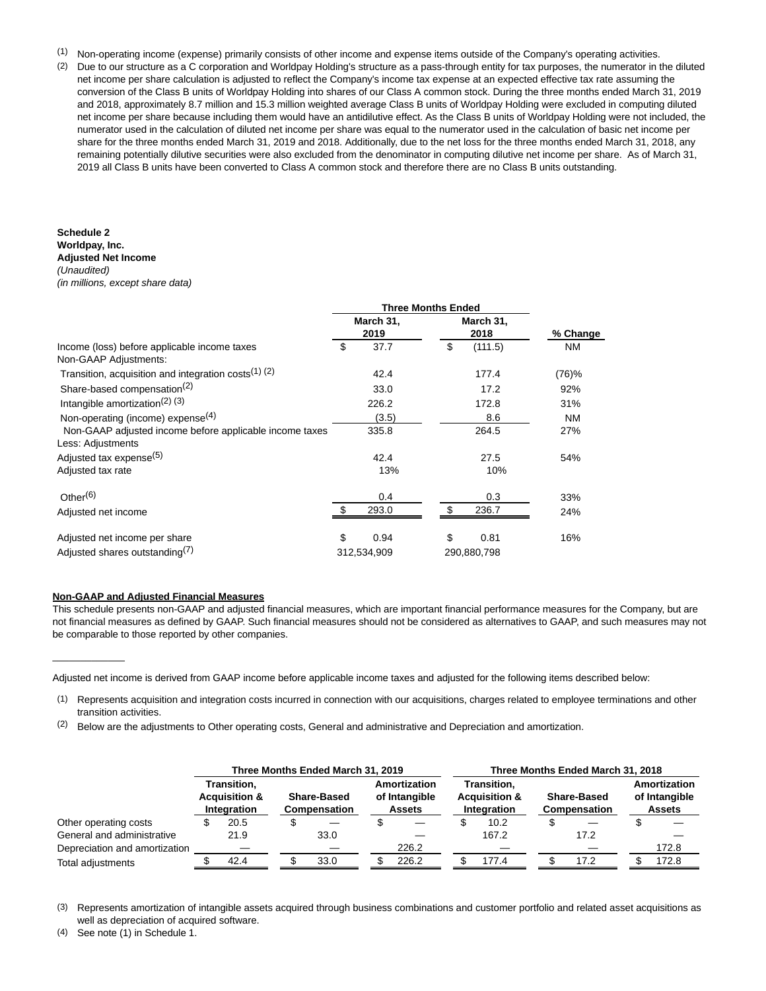(1) Non-operating income (expense) primarily consists of other income and expense items outside of the Company's operating activities.

(2) Due to our structure as a C corporation and Worldpay Holding's structure as a pass-through entity for tax purposes, the numerator in the diluted net income per share calculation is adjusted to reflect the Company's income tax expense at an expected effective tax rate assuming the conversion of the Class B units of Worldpay Holding into shares of our Class A common stock. During the three months ended March 31, 2019 and 2018, approximately 8.7 million and 15.3 million weighted average Class B units of Worldpay Holding were excluded in computing diluted net income per share because including them would have an antidilutive effect. As the Class B units of Worldpay Holding were not included, the numerator used in the calculation of diluted net income per share was equal to the numerator used in the calculation of basic net income per share for the three months ended March 31, 2019 and 2018. Additionally, due to the net loss for the three months ended March 31, 2018, any remaining potentially dilutive securities were also excluded from the denominator in computing dilutive net income per share. As of March 31, 2019 all Class B units have been converted to Class A common stock and therefore there are no Class B units outstanding.

### **Schedule 2 Worldpay, Inc. Adjusted Net Income** (Unaudited) (in millions, except share data)

|                                                                  |    |                   | <b>Three Months Ended</b> |                   |          |
|------------------------------------------------------------------|----|-------------------|---------------------------|-------------------|----------|
|                                                                  |    | March 31,<br>2019 |                           | March 31,<br>2018 | % Change |
| Income (loss) before applicable income taxes                     | \$ | 37.7              | \$                        | (111.5)           | ΝM       |
| Non-GAAP Adjustments:                                            |    |                   |                           |                   |          |
| Transition, acquisition and integration costs <sup>(1)</sup> (2) |    | 42.4              |                           | 177.4             | (76)%    |
| Share-based compensation <sup>(2)</sup>                          |    | 33.0              |                           | 17.2              | 92%      |
| Intangible amortization <sup>(2)</sup> (3)                       |    | 226.2             |                           | 172.8             | 31%      |
| Non-operating (income) expense $(4)$                             |    | (3.5)             |                           | 8.6               | NM       |
| Non-GAAP adjusted income before applicable income taxes          |    | 335.8             |                           | 264.5             | 27%      |
| Less: Adjustments                                                |    |                   |                           |                   |          |
| Adjusted tax expense <sup>(5)</sup>                              |    | 42.4              |                           | 27.5              | 54%      |
| Adjusted tax rate                                                |    | 13%               |                           | 10%               |          |
| Other $(6)$                                                      |    | 0.4               |                           | 0.3               | 33%      |
| Adjusted net income                                              |    | 293.0             |                           | 236.7             | 24%      |
| Adjusted net income per share                                    | \$ | 0.94              | \$                        | 0.81              | 16%      |
| Adjusted shares outstanding <sup>(7)</sup>                       |    | 312,534,909       |                           | 290,880,798       |          |

### **Non-GAAP and Adjusted Financial Measures**

\_\_\_\_\_\_\_\_\_\_\_\_\_

This schedule presents non-GAAP and adjusted financial measures, which are important financial performance measures for the Company, but are not financial measures as defined by GAAP. Such financial measures should not be considered as alternatives to GAAP, and such measures may not be comparable to those reported by other companies.

Adjusted net income is derived from GAAP income before applicable income taxes and adjusted for the following items described below:

- (1) Represents acquisition and integration costs incurred in connection with our acquisitions, charges related to employee terminations and other transition activities.
- $(2)$  Below are the adjustments to Other operating costs, General and administrative and Depreciation and amortization.

|                               | Three Months Ended March 31, 2019 |                                                        |  |                                    |  | Three Months Ended March 31, 2018              |  |                                                        |  |                                    |  |                                                |
|-------------------------------|-----------------------------------|--------------------------------------------------------|--|------------------------------------|--|------------------------------------------------|--|--------------------------------------------------------|--|------------------------------------|--|------------------------------------------------|
|                               |                                   | Transition,<br><b>Acquisition &amp;</b><br>Integration |  | <b>Share-Based</b><br>Compensation |  | Amortization<br>of Intangible<br><b>Assets</b> |  | Transition.<br><b>Acquisition &amp;</b><br>Integration |  | <b>Share-Based</b><br>Compensation |  | Amortization<br>of Intangible<br><b>Assets</b> |
| Other operating costs         |                                   | 20.5                                                   |  |                                    |  |                                                |  | 10.2                                                   |  |                                    |  |                                                |
| General and administrative    |                                   | 21.9                                                   |  | 33.0                               |  |                                                |  | 167.2                                                  |  | 17.2                               |  |                                                |
| Depreciation and amortization |                                   |                                                        |  |                                    |  | 226.2                                          |  |                                                        |  |                                    |  | 172.8                                          |
| Total adjustments             |                                   | 42.4                                                   |  | 33.0                               |  | 226.2                                          |  | 177.4                                                  |  | 17.2                               |  | 172.8                                          |

(3) Represents amortization of intangible assets acquired through business combinations and customer portfolio and related asset acquisitions as well as depreciation of acquired software.

(4) See note (1) in Schedule 1.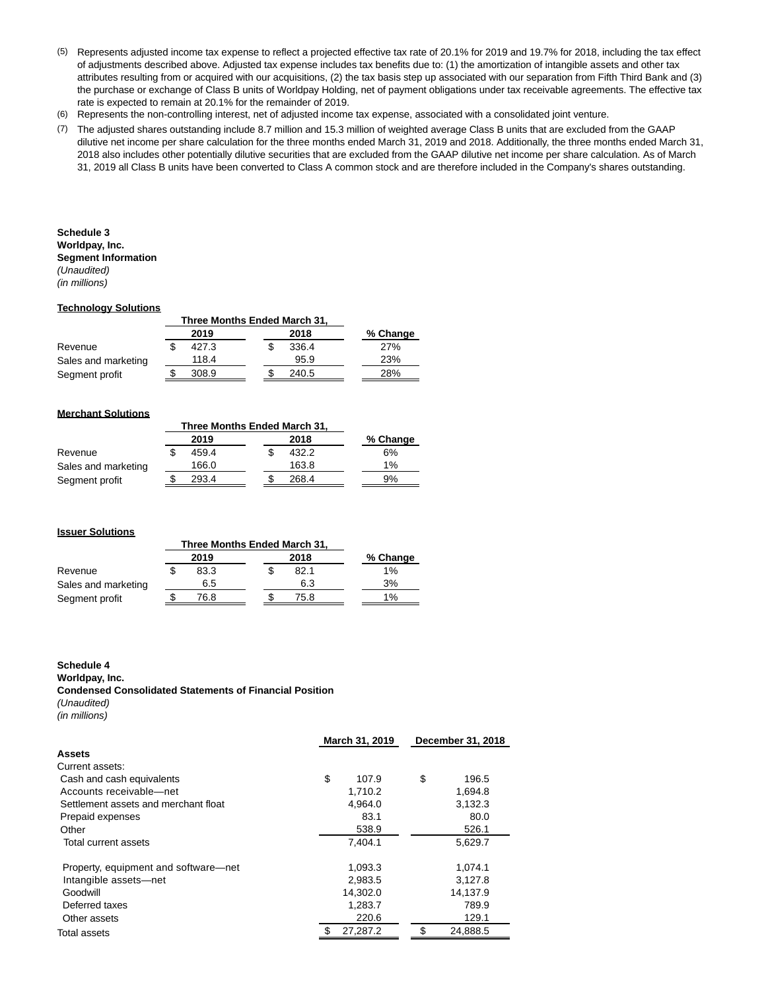- (5) Represents adjusted income tax expense to reflect a projected effective tax rate of 20.1% for 2019 and 19.7% for 2018, including the tax effect of adjustments described above. Adjusted tax expense includes tax benefits due to: (1) the amortization of intangible assets and other tax attributes resulting from or acquired with our acquisitions, (2) the tax basis step up associated with our separation from Fifth Third Bank and (3) the purchase or exchange of Class B units of Worldpay Holding, net of payment obligations under tax receivable agreements. The effective tax rate is expected to remain at 20.1% for the remainder of 2019.
- (6) Represents the non-controlling interest, net of adjusted income tax expense, associated with a consolidated joint venture.
- (7) The adjusted shares outstanding include 8.7 million and 15.3 million of weighted average Class B units that are excluded from the GAAP dilutive net income per share calculation for the three months ended March 31, 2019 and 2018. Additionally, the three months ended March 31, 2018 also includes other potentially dilutive securities that are excluded from the GAAP dilutive net income per share calculation. As of March 31, 2019 all Class B units have been converted to Class A common stock and are therefore included in the Company's shares outstanding.

### **Schedule 3 Worldpay, Inc. Segment Information** (Unaudited) (in millions)

### **Technology Solutions**

|                     | Three Months Ended March 31, |  |  |       |  |            |
|---------------------|------------------------------|--|--|-------|--|------------|
|                     | 2019                         |  |  | 2018  |  | % Change   |
| Revenue             | 427.3                        |  |  | 336.4 |  | <b>27%</b> |
| Sales and marketing | 118.4                        |  |  | 95.9  |  | 23%        |
| Segment profit      | 308.9                        |  |  | 240.5 |  | 28%        |

# **Merchant Solutions**

| 2019  |  |  | 2018  |  | % Change                     |
|-------|--|--|-------|--|------------------------------|
| 459.4 |  |  | 432.2 |  | 6%                           |
| 166.0 |  |  | 163.8 |  | $1\%$                        |
| 293.4 |  |  | 268.4 |  | 9%                           |
|       |  |  | \$    |  | Three Months Ended March 31, |

#### **Issuer Solutions**

|                     | Three Months Ended March 31, |  |  |      |  |          |
|---------------------|------------------------------|--|--|------|--|----------|
|                     | 2019                         |  |  | 2018 |  | % Change |
| Revenue             | 83.3                         |  |  | 82.1 |  | $1\%$    |
| Sales and marketing | 6.5                          |  |  | 6.3  |  | 3%       |
| Segment profit      | 76.8                         |  |  | 75.8 |  | $1\%$    |

## **Schedule 4**

**Worldpay, Inc.**

**Condensed Consolidated Statements of Financial Position**

(Unaudited) (in millions)

|                                      | March 31, 2019 | December 31, 2018 |
|--------------------------------------|----------------|-------------------|
| <b>Assets</b>                        |                |                   |
| Current assets:                      |                |                   |
| Cash and cash equivalents            | \$<br>107.9    | \$<br>196.5       |
| Accounts receivable-net              | 1.710.2        | 1.694.8           |
| Settlement assets and merchant float | 4,964.0        | 3,132.3           |
| Prepaid expenses                     | 83.1           | 80.0              |
| Other                                | 538.9          | 526.1             |
| Total current assets                 | 7.404.1        | 5,629.7           |
| Property, equipment and software-net | 1,093.3        | 1.074.1           |
| Intangible assets-net                | 2,983.5        | 3.127.8           |
| Goodwill                             | 14,302.0       | 14,137.9          |
| Deferred taxes                       | 1,283.7        | 789.9             |
| Other assets                         | 220.6          | 129.1             |
| Total assets                         | 27.287.2       | \$<br>24.888.5    |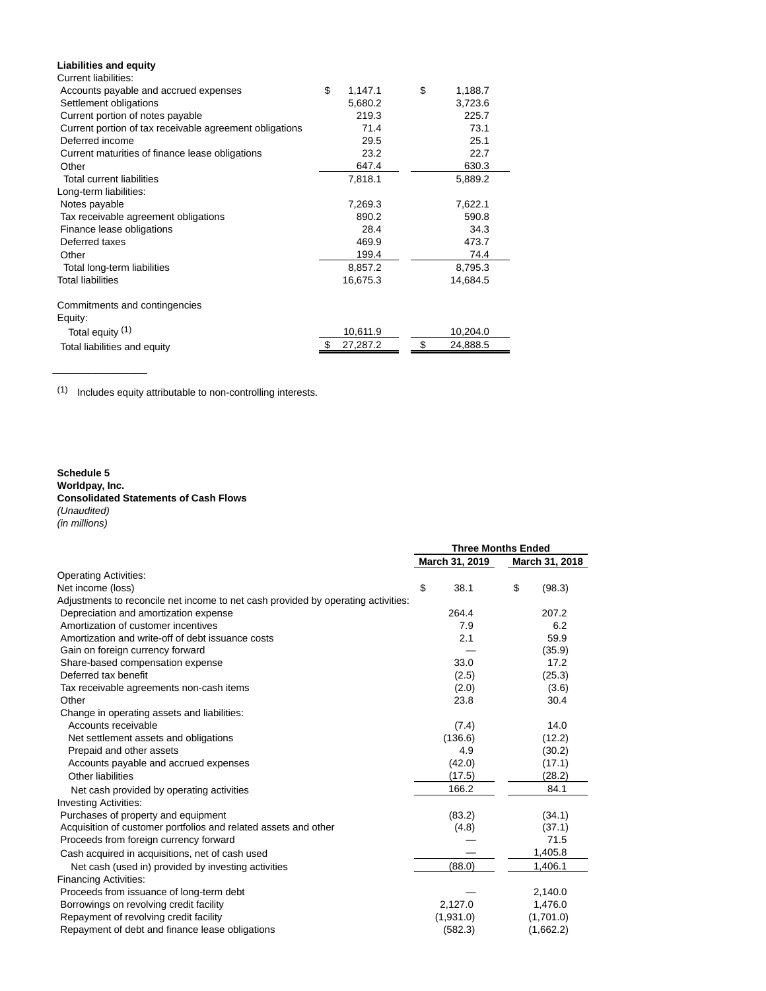| <b>Liabilities and equity</b>                           |                |                |
|---------------------------------------------------------|----------------|----------------|
| Current liabilities:                                    |                |                |
| Accounts payable and accrued expenses                   | \$<br>1,147.1  | \$<br>1,188.7  |
| Settlement obligations                                  | 5,680.2        | 3,723.6        |
| Current portion of notes payable                        | 219.3          | 225.7          |
| Current portion of tax receivable agreement obligations | 71.4           | 73.1           |
| Deferred income                                         | 29.5           | 25.1           |
| Current maturities of finance lease obligations         | 23.2           | 22.7           |
| Other                                                   | 647.4          | 630.3          |
| <b>Total current liabilities</b>                        | 7,818.1        | 5,889.2        |
| Long-term liabilities:                                  |                |                |
| Notes payable                                           | 7,269.3        | 7,622.1        |
| Tax receivable agreement obligations                    | 890.2          | 590.8          |
| Finance lease obligations                               | 28.4           | 34.3           |
| Deferred taxes                                          | 469.9          | 473.7          |
| Other                                                   | 199.4          | 74.4           |
| Total long-term liabilities                             | 8,857.2        | 8,795.3        |
| <b>Total liabilities</b>                                | 16,675.3       | 14,684.5       |
| Commitments and contingencies                           |                |                |
| Equity:                                                 |                |                |
| Total equity (1)                                        | 10,611.9       | 10,204.0       |
| Total liabilities and equity                            | \$<br>27,287.2 | \$<br>24,888.5 |

(1) Includes equity attributable to non-controlling interests.

## **Schedule 5 Worldpay, Inc. Consolidated Statements of Cash Flows** (Unaudited) (in millions)

 $\overline{\phantom{a}}$  , where  $\overline{\phantom{a}}$  , where  $\overline{\phantom{a}}$  , where  $\overline{\phantom{a}}$ 

|                                                                                   | <b>Three Months Ended</b> |                |  |  |  |  |  |
|-----------------------------------------------------------------------------------|---------------------------|----------------|--|--|--|--|--|
|                                                                                   | March 31, 2019            | March 31, 2018 |  |  |  |  |  |
| <b>Operating Activities:</b>                                                      |                           |                |  |  |  |  |  |
| Net income (loss)                                                                 | \$<br>38.1                | \$<br>(98.3)   |  |  |  |  |  |
| Adjustments to reconcile net income to net cash provided by operating activities: |                           |                |  |  |  |  |  |
| Depreciation and amortization expense                                             | 264.4                     | 207.2          |  |  |  |  |  |
| Amortization of customer incentives                                               | 7.9                       | 6.2            |  |  |  |  |  |
| Amortization and write-off of debt issuance costs                                 | 2.1                       | 59.9           |  |  |  |  |  |
| Gain on foreign currency forward                                                  |                           | (35.9)         |  |  |  |  |  |
| Share-based compensation expense                                                  | 33.0                      | 17.2           |  |  |  |  |  |
| Deferred tax benefit                                                              | (2.5)                     | (25.3)         |  |  |  |  |  |
| Tax receivable agreements non-cash items                                          | (2.0)                     | (3.6)          |  |  |  |  |  |
| Other                                                                             | 23.8                      | 30.4           |  |  |  |  |  |
| Change in operating assets and liabilities:                                       |                           |                |  |  |  |  |  |
| Accounts receivable                                                               | (7.4)                     | 14.0           |  |  |  |  |  |
| Net settlement assets and obligations                                             | (136.6)                   | (12.2)         |  |  |  |  |  |
| Prepaid and other assets                                                          | 4.9                       | (30.2)         |  |  |  |  |  |
| Accounts payable and accrued expenses                                             | (42.0)                    | (17.1)         |  |  |  |  |  |
| Other liabilities                                                                 | (17.5)                    | (28.2)         |  |  |  |  |  |
| Net cash provided by operating activities                                         | 166.2                     | 84.1           |  |  |  |  |  |
| <b>Investing Activities:</b>                                                      |                           |                |  |  |  |  |  |
| Purchases of property and equipment                                               | (83.2)                    | (34.1)         |  |  |  |  |  |
| Acquisition of customer portfolios and related assets and other                   | (4.8)                     | (37.1)         |  |  |  |  |  |
| Proceeds from foreign currency forward                                            |                           | 71.5           |  |  |  |  |  |
| Cash acquired in acquisitions, net of cash used                                   |                           | 1,405.8        |  |  |  |  |  |
| Net cash (used in) provided by investing activities                               | (88.0)                    | 1,406.1        |  |  |  |  |  |
| <b>Financing Activities:</b>                                                      |                           |                |  |  |  |  |  |
| Proceeds from issuance of long-term debt                                          |                           | 2,140.0        |  |  |  |  |  |
| Borrowings on revolving credit facility                                           | 2,127.0                   | 1,476.0        |  |  |  |  |  |
| Repayment of revolving credit facility                                            | (1,931.0)                 | (1,701.0)      |  |  |  |  |  |
| Repayment of debt and finance lease obligations                                   | (582.3)                   | (1,662.2)      |  |  |  |  |  |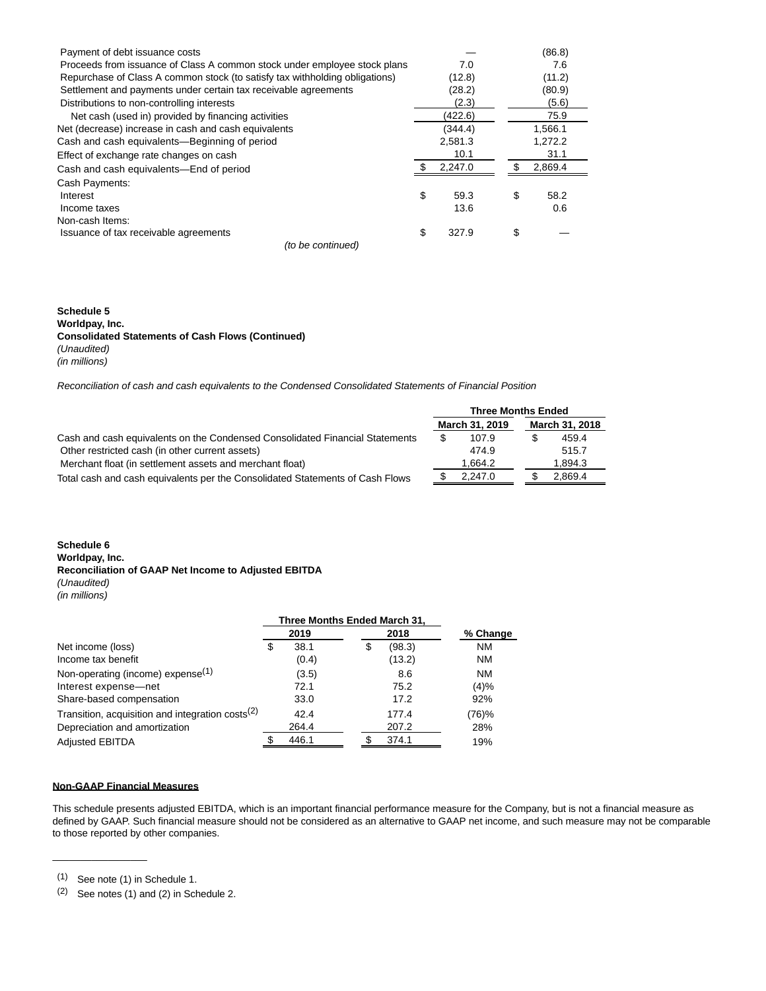| Payment of debt issuance costs                                              |             | (86.8)     |  |
|-----------------------------------------------------------------------------|-------------|------------|--|
| Proceeds from issuance of Class A common stock under employee stock plans   | 7.0         | 7.6        |  |
| Repurchase of Class A common stock (to satisfy tax withholding obligations) | (12.8)      | (11.2)     |  |
| Settlement and payments under certain tax receivable agreements             | (28.2)      | (80.9)     |  |
| Distributions to non-controlling interests                                  | (2.3)       | (5.6)      |  |
| Net cash (used in) provided by financing activities                         | (422.6)     | 75.9       |  |
| Net (decrease) increase in cash and cash equivalents                        | (344.4)     | 1,566.1    |  |
| Cash and cash equivalents-Beginning of period                               | 2,581.3     | 1,272.2    |  |
| Effect of exchange rate changes on cash                                     | 10.1        | 31.1       |  |
| Cash and cash equivalents—End of period                                     | 2,247.0     | 2,869.4    |  |
| Cash Payments:                                                              |             |            |  |
| Interest                                                                    | \$<br>59.3  | \$<br>58.2 |  |
| Income taxes                                                                | 13.6        | 0.6        |  |
| Non-cash Items:                                                             |             |            |  |
| Issuance of tax receivable agreements                                       | \$<br>327.9 | \$         |  |
| (to be continued)                                                           |             |            |  |

**Schedule 5 Worldpay, Inc. Consolidated Statements of Cash Flows (Continued)** (Unaudited) (in millions)

Reconciliation of cash and cash equivalents to the Condensed Consolidated Statements of Financial Position

|                                                                               | <b>Three Months Ended</b> |                |                |         |  |
|-------------------------------------------------------------------------------|---------------------------|----------------|----------------|---------|--|
|                                                                               |                           | March 31, 2019 | March 31, 2018 |         |  |
| Cash and cash equivalents on the Condensed Consolidated Financial Statements  | S                         | 107.9          |                | 459.4   |  |
| Other restricted cash (in other current assets)                               |                           | 474.9          |                | 515.7   |  |
| Merchant float (in settlement assets and merchant float)                      |                           | 1.664.2        |                | 1.894.3 |  |
| Total cash and cash equivalents per the Consolidated Statements of Cash Flows |                           | 2.247.0        |                | 2.869.4 |  |

### **Schedule 6 Worldpay, Inc. Reconciliation of GAAP Net Income to Adjusted EBITDA** (Unaudited) (in millions)

|                                                     | Three Months Ended March 31, |               |  |      |                  |                        |  |
|-----------------------------------------------------|------------------------------|---------------|--|------|------------------|------------------------|--|
|                                                     |                              | 2019          |  | 2018 |                  | % Change               |  |
| Net income (loss)<br>Income tax benefit             | SS                           | 38.1<br>(0.4) |  | S    | (98.3)<br>(13.2) | <b>NM</b><br><b>NM</b> |  |
| Non-operating (income) expense <sup>(1)</sup>       |                              | (3.5)         |  |      | 8.6              | <b>NM</b>              |  |
| Interest expense-net                                |                              | 72.1          |  |      | 75.2             | (4)%                   |  |
| Share-based compensation                            |                              | 33.0          |  |      | 17.2             | 92%                    |  |
| Transition, acquisition and integration costs $(2)$ |                              | 42.4          |  |      | 177.4            | (76)%                  |  |
| Depreciation and amortization                       |                              | 264.4         |  |      | 207.2            | 28%                    |  |
| <b>Adjusted EBITDA</b>                              |                              | 446.1         |  |      | 374.1            | 19%                    |  |

### **Non-GAAP Financial Measures**

This schedule presents adjusted EBITDA, which is an important financial performance measure for the Company, but is not a financial measure as defined by GAAP. Such financial measure should not be considered as an alternative to GAAP net income, and such measure may not be comparable to those reported by other companies.

 $\overline{\phantom{a}}$  , where  $\overline{\phantom{a}}$ 

<sup>(1)</sup> See note (1) in Schedule 1.

<sup>(2)</sup> See notes (1) and (2) in Schedule 2.